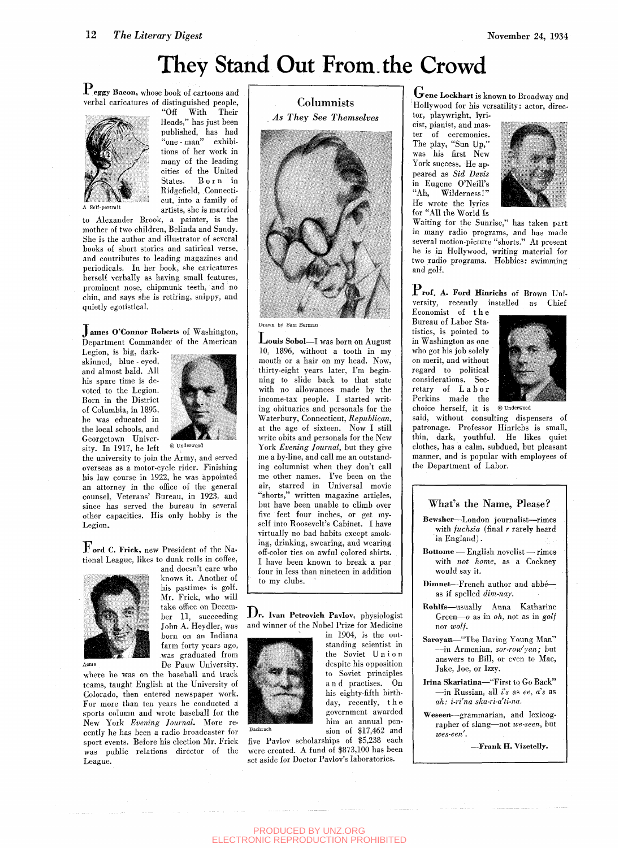# They Stand Out From.the Crowd

 $\mathbf{P_{eggy}}$  Bacon, whose book of cartoons and verbal caricatures of distinguished people,



"Off With Their Heads," has just been published, has had "one - man" exhibitions of her work in many of the leading cities of the United States. Born in Ridgefield, Connecticut, into a family of artists, she is married

A Self-portrait

to Alexander Brook, a painter, is the mother of two children, Belinda and Sandy. She is the author and illustrator of several books of short stories and satirical verse, and contributes to leading magazines and periodicals. In her book, she caricatures herself verbally as having small features, prominent nose, chipmunk teeth, and no chin, and says she is retiring, snippy, and quietly egotistical.

#### **James O'Connor Roberts of Washington,** Department Commander of the American

Legion, is big, darkskinned, blue - eyed, and almost bald. All his spare time is devoted to the Legion. Born in the District of Columbia, in 1895, he was educated in the local schools, and Georgetown University. In 1917, he left



*©* Underwood

the university to join the Army, and served overseas as a motor-cycle rider. Finishing his law course in 1922, he was appointed an attorney in the office of the general counsel. Veterans' Bureau, in 1923, and since has served the bureau in several other capacities. His only hobby is the Legion.

 ${\bf F}_{\bf ord}$  C. Friek, new President of the National League, likes to dunk rolls in coffee,



knows it. Another of his pastimes is golf. Mr. Frick, who will take office on December 11, succeeding John A. Heydler, was born on an Indiana farm forty years ago, was graduated from De Pauw University,

and doesn't care who

where he was on the baseball and track teams, taught English at the University of Colorado, then entered newspaper work. For more than ten years he conducted a sports column and wrote baseball for the New York *Evening Journal.* More recently he has been a radio broadcaster for sport events. Before his election Mr. Frick was public relations director of the League.

### Columnists *As They See Themselves*



Drawn by Sam Berman

 $\mathbf L$ ouis Sobol—I was born on August 10, 1896, without a tooth in my mouth or a hair on my head. Now, thirty-eight years later, I'm beginning to slide back to that state with no allowances made by the income-tax people. I started writing obituaries and personals for the Waterbury, Connecticut, *Republican,*  at the age of sixteen. Now I still write obits and personals for the New York *Evening Journal,* but they give me a by-line, and call me an outstanding columnist when they don't call me other names. I've been on the air, starred in Universal movie "shorts," written magazine articles, but have been unable to climb over five feet four inches, or get myself into Roosevelt's Cabinet. I have virtually no bad habits except smoking, drinking, swearing, and wearing off-color ties on awful colored shirts. I have been known to break a par four in less than nineteen in addition to my clubs.

Dr. Ivan Petrovich Pavlov, physiologist and winner of the Nobel Prize for Medicine in 1904, is the out-



the Soviet Unio n despite his opposition to Soviet principles a n d practises. On his eighty-fifth birthday, recently, th e government awarded him an annual pen-Bachrach sion of \$17,462 and

standing scientist in

five Pavlov scholarships of |5,238 each were created. A fund of \$873,100 has been set aside for Doctor Pavlov's laboratories.

 ${\mathbf G}$ ene Lockhart is known to Broadway and Hollywood for his versatility: actor, director, playwright, lyri-

peared as *Sid Davis*<br>
in Eugene O'Neill's<br>
"Ah, Wilderness!"<br>
He wrote the lyrics<br>
for "All the World Is<br>
Waiting for the Sunrise," has taken part cist, pianist, and master of ceremonies. *^ ^* ''\*• The play, "Sun Up," was his first New York success. He appeared as *Sid Davis*  in Eugene O'Neill's "Ah, Wilderness!" He wrote the lyrics for "All the World Is



in many radio programs, and has made several motion-picture "shorts." At present he is in Hollywood, writing material for two radio programs. Hobbies: swimming and golf.

Prof. A. Ford Hinrichs of Brown University, recently installed as Chief Economist of th e

Bureau of Labor Statistics, is pointed to in Washington as one who got his job solely on merit, and without regard to political considerations. Secretary of Labor Perkins made the



choice herself, it is © underwood

said, without consulting dispensers of patronage. Professor Hinrichs is small, thin, dark, youthful. He likes quiet clothes, has a calm, subdued, but pleasant manner, and is popular with employees of the Department of Labor.

#### What's the Name, Please?

- Bewsher—London journalist—rimes with *fuchsia* (final *r* rarely heard in England).
- Bottome English novelist rimes with *not home,* as a Cockney would say it.
- Dimnet—French author and abbe as if spelled *dim-nay.*
- Rohlfs—usually Anna Katharine Green—o as in *oh,* not as in *golf*  nor *wolf.*
- Saroyam—"The Daring Young Man" —in Armenian, *sor-row'yan;* but answers to Bill, or even to Mac, Jake, Joe, or Izzy.
- Irina Skariatina—"First to Go Back" —in Russian, all *is* as *ee, a's* as *ah: i-ri'na ska-ri-a'ti-na.*
- Weseen—grammarian, and lexicographer of slang—not *we-seen,* but *wes-een'.*

—Frank H. Vizetelly.